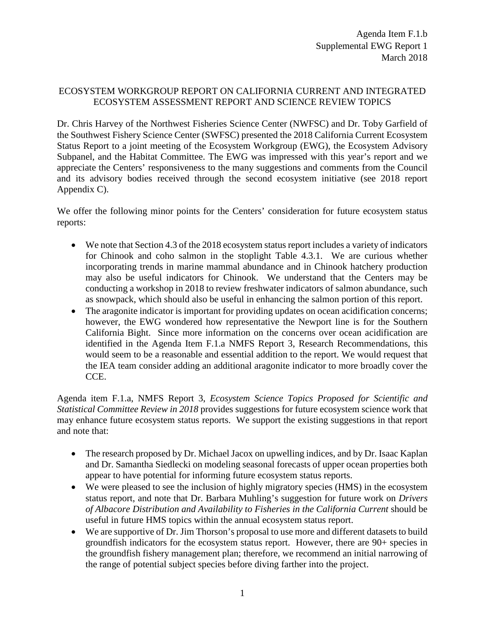## ECOSYSTEM WORKGROUP REPORT ON CALIFORNIA CURRENT AND INTEGRATED ECOSYSTEM ASSESSMENT REPORT AND SCIENCE REVIEW TOPICS

Dr. Chris Harvey of the Northwest Fisheries Science Center (NWFSC) and Dr. Toby Garfield of the Southwest Fishery Science Center (SWFSC) presented the 2018 California Current Ecosystem Status Report to a joint meeting of the Ecosystem Workgroup (EWG), the Ecosystem Advisory Subpanel, and the Habitat Committee. The EWG was impressed with this year's report and we appreciate the Centers' responsiveness to the many suggestions and comments from the Council and its advisory bodies received through the second ecosystem initiative (see 2018 report Appendix C).

We offer the following minor points for the Centers' consideration for future ecosystem status reports:

- We note that Section 4.3 of the 2018 ecosystem status report includes a variety of indicators for Chinook and coho salmon in the stoplight Table 4.3.1. We are curious whether incorporating trends in marine mammal abundance and in Chinook hatchery production may also be useful indicators for Chinook. We understand that the Centers may be conducting a workshop in 2018 to review freshwater indicators of salmon abundance, such as snowpack, which should also be useful in enhancing the salmon portion of this report.
- The aragonite indicator is important for providing updates on ocean acidification concerns; however, the EWG wondered how representative the Newport line is for the Southern California Bight. Since more information on the concerns over ocean acidification are identified in the Agenda Item F.1.a NMFS Report 3, Research Recommendations, this would seem to be a reasonable and essential addition to the report. We would request that the IEA team consider adding an additional aragonite indicator to more broadly cover the CCE.

Agenda item F.1.a, NMFS Report 3, *Ecosystem Science Topics Proposed for Scientific and Statistical Committee Review in 2018* provides suggestions for future ecosystem science work that may enhance future ecosystem status reports. We support the existing suggestions in that report and note that:

- The research proposed by Dr. Michael Jacox on upwelling indices, and by Dr. Isaac Kaplan and Dr. Samantha Siedlecki on modeling seasonal forecasts of upper ocean properties both appear to have potential for informing future ecosystem status reports.
- We were pleased to see the inclusion of highly migratory species (HMS) in the ecosystem status report, and note that Dr. Barbara Muhling's suggestion for future work on *Drivers of Albacore Distribution and Availability to Fisheries in the California Current* should be useful in future HMS topics within the annual ecosystem status report.
- We are supportive of Dr. Jim Thorson's proposal to use more and different datasets to build groundfish indicators for the ecosystem status report. However, there are 90+ species in the groundfish fishery management plan; therefore, we recommend an initial narrowing of the range of potential subject species before diving farther into the project.